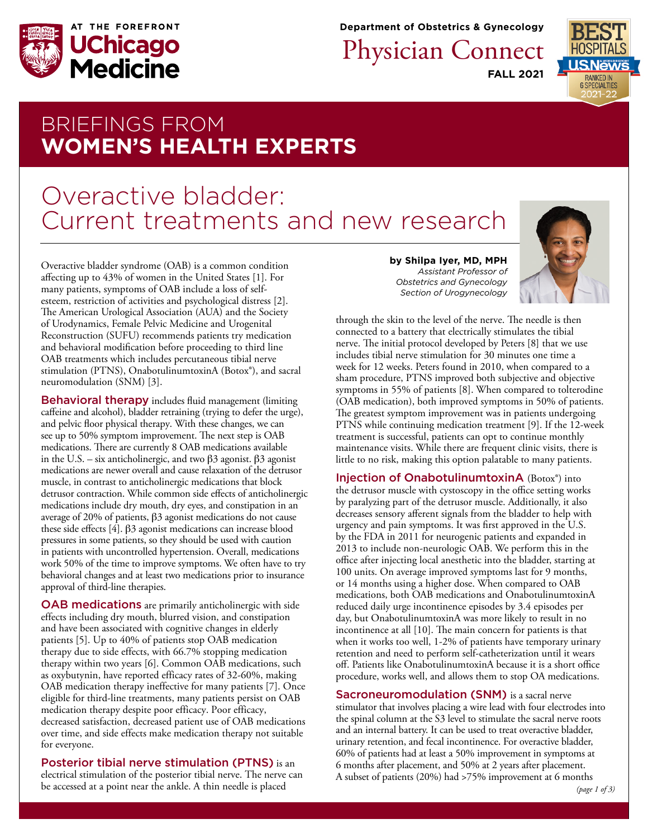

**Department of Obstetrics & Gynecology**

Physician Connect

**FALL 2021**



# BRIEFINGS FROM **WOMEN'S HEALTH EXPERTS**

# Overactive bladder: Current treatments an[d new research](https://www.uchicagomedicine.org/find-a-physician/physician/shilpa-iyer)

Overactive bladder syndrome (OAB) is a common condition affecting up to 43% of women in the United States [1]. For many patients, symptoms of OAB include a loss of selfesteem, restriction of activities and psychological distress [2]. The American Urological Association (AUA) and the Society of Urodynamics, Female Pelvic Medicine and Urogenital Reconstruction (SUFU) recommends patients try medication and behavioral modification before proceeding to third line OAB treatments which includes percutaneous tibial nerve stimulation (PTNS), OnabotulinumtoxinA (Botox®), and sacral neuromodulation (SNM) [3].

**Behavioral therapy** includes fluid management (limiting caffeine and alcohol), bladder retraining (trying to defer the urge), and pelvic floor physical therapy. With these changes, we can see up to 50% symptom improvement. The next step is OAB medications. There are currently 8 OAB medications available in the U.S. – six anticholinergic, and two  $\beta$ 3 agonist.  $\beta$ 3 agonist medications are newer overall and cause relaxation of the detrusor muscle, in contrast to anticholinergic medications that block detrusor contraction. While common side effects of anticholinergic medications include dry mouth, dry eyes, and constipation in an average of 20% of patients,  $\beta$ 3 agonist medications do not cause these side effects  $[4]$ .  $\beta$ 3 agonist medications can increase blood pressures in some patients, so they should be used with caution in patients with uncontrolled hypertension. Overall, medications work 50% of the time to improve symptoms. We often have to try behavioral changes and at least two medications prior to insurance approval of third-line therapies.

OAB medications are primarily anticholinergic with side effects including dry mouth, blurred vision, and constipation and have been associated with cognitive changes in elderly patients [5]. Up to 40% of patients stop OAB medication therapy due to side effects, with 66.7% stopping medication therapy within two years [6]. Common OAB medications, such as oxybutynin, have reported efficacy rates of 32-60%, making OAB medication therapy ineffective for many patients [7]. Once eligible for third-line treatments, many patients persist on OAB medication therapy despite poor efficacy. Poor efficacy, decreased satisfaction, decreased patient use of OAB medications over time, and side effects make medication therapy not suitable for everyone.

Posterior tibial nerve stimulation (PTNS) is an electrical stimulation of the posterior tibial nerve. The nerve can be accessed at a point near the ankle. A thin needle is placed

**by Shilpa Iyer, MD, MPH**  *Assistant Professor of Obstetrics and Gynecology Section of Urogynecology*



through the skin to the level of the nerve. The needle is then connected to a battery that electrically stimulates the tibial nerve. The initial protocol developed by Peters [8] that we use includes tibial nerve stimulation for 30 minutes one time a week for 12 weeks. Peters found in 2010, when compared to a sham procedure, PTNS improved both subjective and objective symptoms in 55% of patients [8]. When compared to tolterodine (OAB medication), both improved symptoms in 50% of patients. The greatest symptom improvement was in patients undergoing PTNS while continuing medication treatment [9]. If the 12-week treatment is successful, patients can opt to continue monthly maintenance visits. While there are frequent clinic visits, there is little to no risk, making this option palatable to many patients.

Injection of OnabotulinumtoxinA (Botox®) into the detrusor muscle with cystoscopy in the office setting works by paralyzing part of the detrusor muscle. Additionally, it also decreases sensory afferent signals from the bladder to help with urgency and pain symptoms. It was first approved in the U.S. by the FDA in 2011 for neurogenic patients and expanded in 2013 to include non-neurologic OAB. We perform this in the office after injecting local anesthetic into the bladder, starting at 100 units. On average improved symptoms last for 9 months, or 14 months using a higher dose. When compared to OAB medications, both OAB medications and OnabotulinumtoxinA reduced daily urge incontinence episodes by 3.4 episodes per day, but OnabotulinumtoxinA was more likely to result in no incontinence at all [10]. The main concern for patients is that when it works too well, 1-2% of patients have temporary urinary retention and need to perform self-catheterization until it wears off. Patients like OnabotulinumtoxinA because it is a short office procedure, works well, and allows them to stop OA medications.

Sacroneuromodulation (SNM) is a sacral nerve stimulator that involves placing a wire lead with four electrodes into the spinal column at the S3 level to stimulate the sacral nerve roots and an internal battery. It can be used to treat overactive bladder, urinary retention, and fecal incontinence. For overactive bladder, 60% of patients had at least a 50% improvement in symptoms at 6 months after placement, and 50% at 2 years after placement. A subset of patients (20%) had >75% improvement at 6 months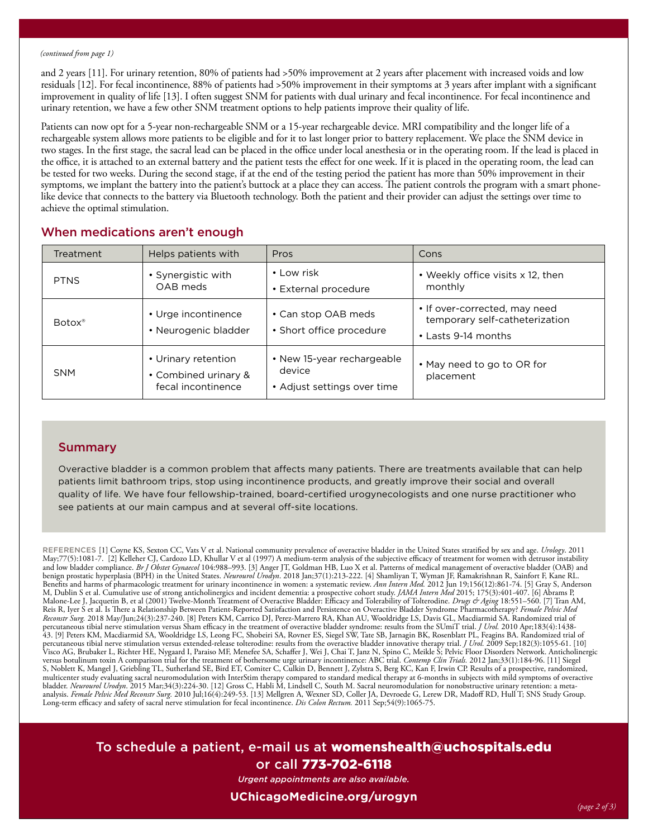#### *(continued from page 1)*

and 2 years [11]. For urinary retention, 80% of patients had >50% improvement at 2 years after placement with increased voids and low residuals [12]. For fecal incontinence, 88% of patients had >50% improvement in their symptoms at 3 years after implant with a significant improvement in quality of life [13]. I often suggest SNM for patients with dual urinary and fecal incontinence. For fecal incontinence and urinary retention, we have a few other SNM treatment options to help patients improve their quality of life.

Patients can now opt for a 5-year non-rechargeable SNM or a 15-year rechargeable device. MRI compatibility and the longer life of a rechargeable system allows more patients to be eligible and for it to last longer prior to battery replacement. We place the SNM device in two stages. In the first stage, the sacral lead can be placed in the office under local anesthesia or in the operating room. If the lead is placed in the office, it is attached to an external battery and the patient tests the effect for one week. If it is placed in the operating room, the lead can be tested for two weeks. During the second stage, if at the end of the testing period the patient has more than 50% improvement in their symptoms, we implant the battery into the patient's buttock at a place they can access. The patient controls the program with a smart phonelike device that connects to the battery via Bluetooth technology. Both the patient and their provider can adjust the settings over time to achieve the optimal stimulation.

| <b>Treatment</b>   | Helps patients with                                               | Pros                                                                | Cons                                                                                   |
|--------------------|-------------------------------------------------------------------|---------------------------------------------------------------------|----------------------------------------------------------------------------------------|
| <b>PTNS</b>        | • Synergistic with<br>OAB meds                                    | • Low risk<br>• External procedure                                  | • Weekly office visits x 12, then<br>monthly                                           |
| Botox <sup>®</sup> | • Urge incontinence<br>• Neurogenic bladder                       | • Can stop OAB meds<br>• Short office procedure                     | • If over-corrected, may need<br>temporary self-catheterization<br>• Lasts 9-14 months |
| <b>SNM</b>         | • Urinary retention<br>• Combined urinary &<br>fecal incontinence | • New 15-year rechargeable<br>device<br>• Adjust settings over time | • May need to go to OR for<br>placement                                                |

# When medications aren't enough

## **Summary**

Overactive bladder is a common problem that affects many patients. There are treatments available that can help patients limit bathroom trips, stop using incontinence products, and greatly improve their social and overall quality of life. We have four fellowship-trained, board-certified urogynecologists and one nurse practitioner who see patients at our main campus and at several off-site locations.

REFERENCES [1] Coyne KS, Sexton CC, Vats V et al. National community prevalence of overactive bladder in the United States stratified by sex and age. *Urology*. 2011 May;77(5):1081-7. [2] Kelleher CJ, Cardozo LD, Khullar V et al (1997) A medium-term analysis of the subjective efficacy of treatment for women with detrusor instability<br>and low bladder compliance. *Br J Obstet Gynaecol* 10 Benefits and harms of pharmacologic treatment for urinary incontinence in women: a systematic review. *Ann Intern Med.* 2012 Jun 19;156(12):861-74. [5] Gray S, Anderson M, Dublin S et al. Cumulative use of strong anticholinergics and incident dementia: a prospective cohort study. *JAMA Intern Med* 2015; 175(3):401-407. [6] Abrams P,<br>Malone-Lee J, Jacquetin B, et al (2001) Twelve-Month Tre Reis R, Iyer S et al. Is There a Relationship Between Patient-Reported Satisfaction and Persistence on Overactive Bladder Syndrome Pharmacotherapy? *Female Pelvic Med*<br>*Reconstr Surg.* 2018 May/Jun;24(3):237-240. [8] Peter percutaneous tibial nerve stimulation versus Sham efficacy in the treatment of overactive bladder syndrome: results from the SUmiT trial. *J Urøl*. 2010 Apr;183(4):1438-<br>43. [9] Peters KM, Macdiarmid SA, Wooldridge LS, Leo percutaneous tibial nerve stimulation versus extended-release tolterodine: results from the overactive bladder innovative therapy trial. *J Urol.* 2009 Sep;182(3):1055-61. [10]<br>Visco AG, Brubaker L, Richter HE, Nygaard I, multicenter study evaluating sacral neuromodulation with InterStim therapy compared to standard medical therapy at 6-months in subjects with mild symptoms of overactive<br>bladder. *Neurourol Urodyn.* 2015 Mar;34(3):224-30. [ analysis. *Female Pelvic Med Reconstr Surg.* 2010 Jul;16(4):249-53. [13] Mellgren A, Wexner SD, Coller JA, Devroede G, Lerew DR, Madoff RD, Hull T; SNS Study Group. Long-term efficacy and safety of sacral nerve stimulation for fecal incontinence. *Dis Colon Rectum.* 2011 Sep;54(9):1065-75.

To schedule a patient, e-mail us at [womenshealth@uchospitals.edu](mailto:womenshealth%40uchospitals.edu?subject=) or call 773-702-6118

*Urgent appointments are also available.* 

### **[UChicagoMedicine.org/urogyn](http://UChicagoMedicine.org/urogyn)**